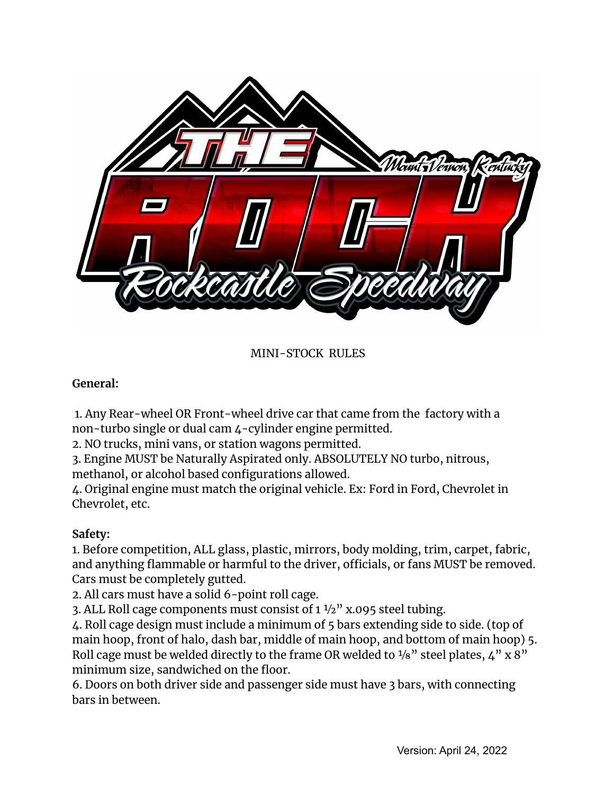

MINI-STOCK RULES

### **General:**

1. Any Rear-wheel OR Front-wheel drive car that came from the factory with a non-turbo single or dual cam 4-cylinder engine permitted.

2. NO trucks, mini vans, or station wagons permitted.

3. Engine MUST be Naturally Aspirated only. ABSOLUTELY NO turbo, nitrous, methanol, or alcohol based configurations allowed.

4. Original engine must match the original vehicle. Ex: Ford in Ford, Chevrolet in Chevrolet, etc.

# **Safety:**

1. Before competition, ALL glass, plastic, mirrors, body molding, trim, carpet, fabric, and anything flammable or harmful to the driver, officials, or fans MUST be removed. Cars must be completely gutted.

2. All cars must have a solid 6-point roll cage.

3. ALL Roll cage components must consist of  $1\frac{1}{2}$ " x.095 steel tubing.

4. Roll cage design must include a minimum of 5 bars extending side to side. (top of main hoop, front of halo, dash bar, middle of main hoop, and bottom of main hoop) 5. Roll cage must be welded directly to the frame OR welded to  $1/8$ " steel plates,  $4$ " x  $8$ " minimum size, sandwiched on the floor.

6. Doors on both driver side and passenger side must have 3 bars, with connecting bars in between.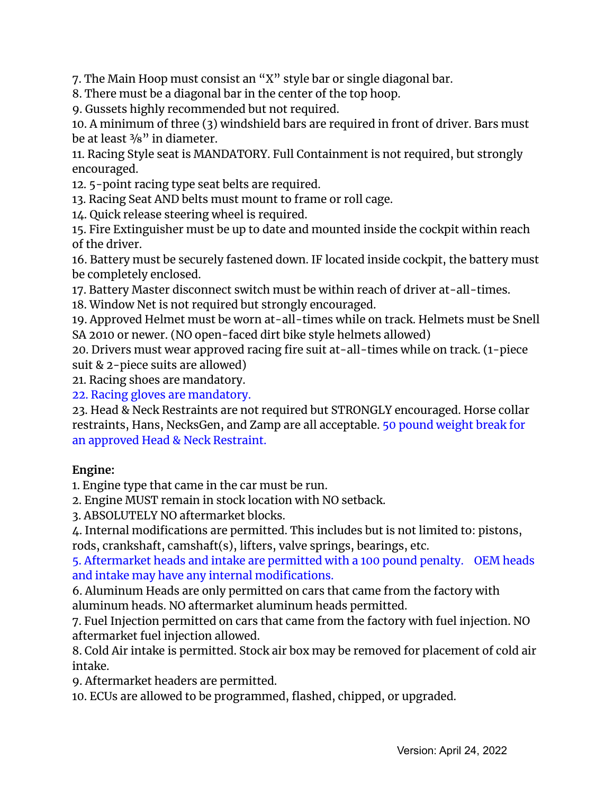7. The Main Hoop must consist an "X" style bar or single diagonal bar.

8. There must be a diagonal bar in the center of the top hoop.

9. Gussets highly recommended but not required.

10. A minimum of three (3) windshield bars are required in front of driver. Bars must be at least  $\frac{3}{8}$ " in diameter.

11. Racing Style seat is MANDATORY. Full Containment is not required, but strongly encouraged.

12. 5-point racing type seat belts are required.

13. Racing Seat AND belts must mount to frame or roll cage.

14. Quick release steering wheel is required.

15. Fire Extinguisher must be up to date and mounted inside the cockpit within reach of the driver.

16. Battery must be securely fastened down. IF located inside cockpit, the battery must be completely enclosed.

17. Battery Master disconnect switch must be within reach of driver at-all-times.

18. Window Net is not required but strongly encouraged.

19. Approved Helmet must be worn at-all-times while on track. Helmets must be Snell SA 2010 or newer. (NO open-faced dirt bike style helmets allowed)

20. Drivers must wear approved racing fire suit at-all-times while on track. (1-piece suit & 2-piece suits are allowed)

21. Racing shoes are mandatory.

22. Racing gloves are mandatory.

23. Head & Neck Restraints are not required but STRONGLY encouraged. Horse collar restraints, Hans, NecksGen, and Zamp are all acceptable. 50 pound weight break for an approved Head & Neck Restraint.

# **Engine:**

1. Engine type that came in the car must be run.

2. Engine MUST remain in stock location with NO setback.

3. ABSOLUTELY NO aftermarket blocks.

4. Internal modifications are permitted. This includes but is not limited to: pistons, rods, crankshaft, camshaft(s), lifters, valve springs, bearings, etc.

5. Aftermarket heads and intake are permitted with a 100 pound penalty. OEM heads and intake may have any internal modifications.

6. Aluminum Heads are only permitted on cars that came from the factory with aluminum heads. NO aftermarket aluminum heads permitted.

7. Fuel Injection permitted on cars that came from the factory with fuel injection. NO aftermarket fuel injection allowed.

8. Cold Air intake is permitted. Stock air box may be removed for placement of cold air intake.

9. Aftermarket headers are permitted.

10. ECUs are allowed to be programmed, flashed, chipped, or upgraded.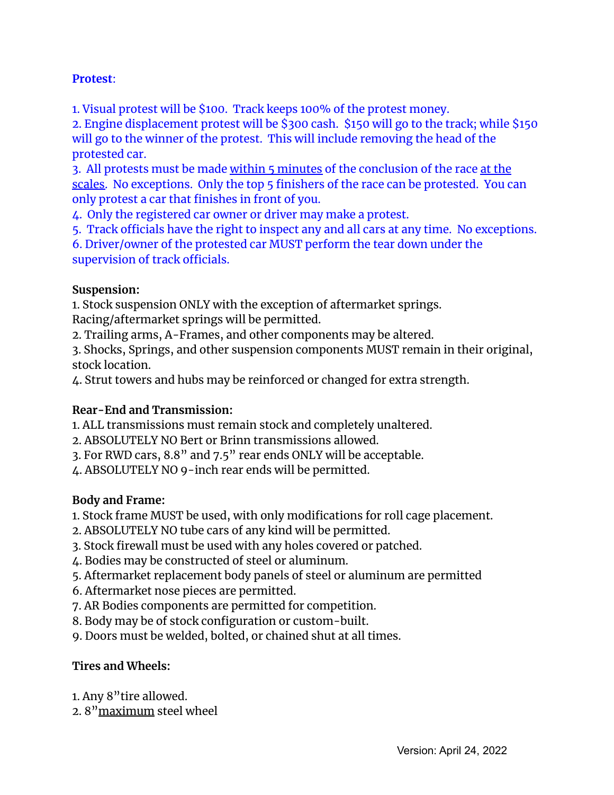#### **Protest**:

1. Visual protest will be \$100. Track keeps 100% of the protest money.

2. Engine displacement protest will be \$300 cash. \$150 will go to the track; while \$150 will go to the winner of the protest. This will include removing the head of the protested car.

3. All protests must be made within 5 minutes of the conclusion of the race at the scales. No exceptions. Only the top 5 finishers of the race can be protested. You can only protest a car that finishes in front of you.

4. Only the registered car owner or driver may make a protest.

5. Track officials have the right to inspect any and all cars at any time. No exceptions.

6. Driver/owner of the protested car MUST perform the tear down under the supervision of track officials.

#### **Suspension:**

1. Stock suspension ONLY with the exception of aftermarket springs.

Racing/aftermarket springs will be permitted.

2. Trailing arms, A-Frames, and other components may be altered.

3. Shocks, Springs, and other suspension components MUST remain in their original, stock location.

4. Strut towers and hubs may be reinforced or changed for extra strength.

# **Rear-End and Transmission:**

1. ALL transmissions must remain stock and completely unaltered.

- 2. ABSOLUTELY NO Bert or Brinn transmissions allowed.
- 3. For RWD cars, 8.8" and 7.5" rear ends ONLY will be acceptable.
- 4. ABSOLUTELY NO 9-inch rear ends will be permitted.

#### **Body and Frame:**

- 1. Stock frame MUST be used, with only modifications for roll cage placement.
- 2. ABSOLUTELY NO tube cars of any kind will be permitted.
- 3. Stock firewall must be used with any holes covered or patched.
- 4. Bodies may be constructed of steel or aluminum.
- 5. Aftermarket replacement body panels of steel or aluminum are permitted
- 6. Aftermarket nose pieces are permitted.
- 7. AR Bodies components are permitted for competition.
- 8. Body may be of stock configuration or custom-built.
- 9. Doors must be welded, bolted, or chained shut at all times.

#### **Tires and Wheels:**

- 1. Any 8"tire allowed.
- 2. 8"maximum steel wheel